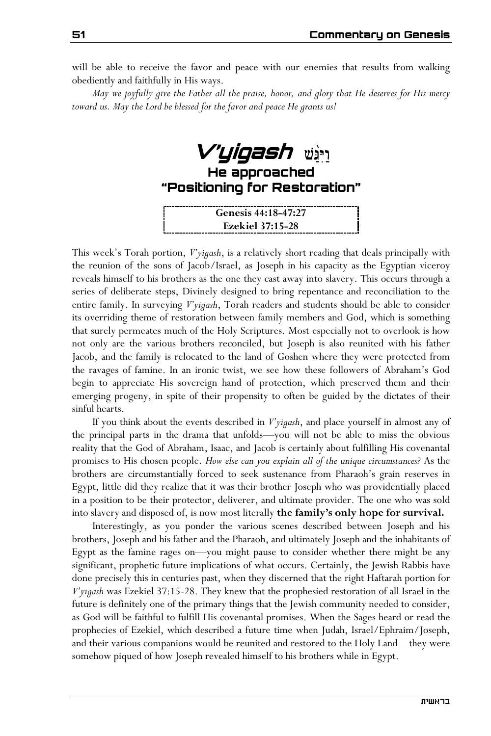will be able to receive the favor and peace with our enemies that results from walking obediently and faithfully in His ways.

*May we joyfully give the Father all the praise, honor, and glory that He deserves for His mercy toward us. May the Lord be blessed for the favor and peace He grants us!* 

**V'yigash He approached "Positioning for Restoration"** 

**Genesis 44:18-47:27 Ezekiel 37:15-28**

This week's Torah portion, *V'yigash*, is a relatively short reading that deals principally with the reunion of the sons of Jacob/Israel, as Joseph in his capacity as the Egyptian viceroy reveals himself to his brothers as the one they cast away into slavery. This occurs through a series of deliberate steps, Divinely designed to bring repentance and reconciliation to the entire family. In surveying *V'yigash*, Torah readers and students should be able to consider its overriding theme of restoration between family members and God, which is something that surely permeates much of the Holy Scriptures. Most especially not to overlook is how not only are the various brothers reconciled, but Joseph is also reunited with his father Jacob, and the family is relocated to the land of Goshen where they were protected from the ravages of famine. In an ironic twist, we see how these followers of Abraham's God begin to appreciate His sovereign hand of protection, which preserved them and their emerging progeny, in spite of their propensity to often be guided by the dictates of their sinful hearts.

If you think about the events described in *V'yigash*, and place yourself in almost any of the principal parts in the drama that unfolds—you will not be able to miss the obvious reality that the God of Abraham, Isaac, and Jacob is certainly about fulfilling His covenantal promises to His chosen people. *How else can you explain all of the unique circumstances?* As the brothers are circumstantially forced to seek sustenance from Pharaoh's grain reserves in Egypt, little did they realize that it was their brother Joseph who was providentially placed in a position to be their protector, deliverer, and ultimate provider. The one who was sold into slavery and disposed of, is now most literally **the family's only hope for survival.** 

Interestingly, as you ponder the various scenes described between Joseph and his brothers, Joseph and his father and the Pharaoh, and ultimately Joseph and the inhabitants of Egypt as the famine rages on—you might pause to consider whether there might be any significant, prophetic future implications of what occurs. Certainly, the Jewish Rabbis have done precisely this in centuries past, when they discerned that the right Haftarah portion for *V'yigash* was Ezekiel 37:15-28. They knew that the prophesied restoration of all Israel in the future is definitely one of the primary things that the Jewish community needed to consider, as God will be faithful to fulfill His covenantal promises. When the Sages heard or read the prophecies of Ezekiel, which described a future time when Judah, Israel/Ephraim/Joseph, and their various companions would be reunited and restored to the Holy Land—they were somehow piqued of how Joseph revealed himself to his brothers while in Egypt.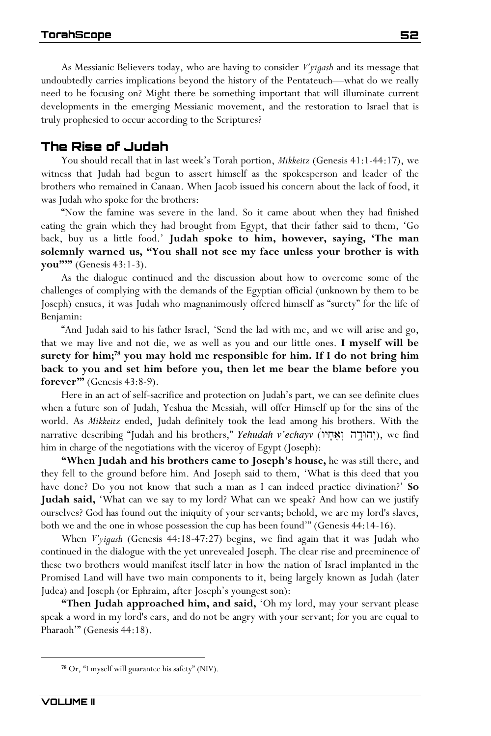As Messianic Believers today, who are having to consider *V'yigash* and its message that undoubtedly carries implications beyond the history of the Pentateuch—what do we really need to be focusing on? Might there be something important that will illuminate current developments in the emerging Messianic movement, and the restoration to Israel that is truly prophesied to occur according to the Scriptures?

## **The Rise of Judah**

You should recall that in last week's Torah portion, *Mikkeitz* (Genesis 41:1-44:17), we witness that Judah had begun to assert himself as the spokesperson and leader of the brothers who remained in Canaan. When Jacob issued his concern about the lack of food, it was Judah who spoke for the brothers:

"Now the famine was severe in the land. So it came about when they had finished eating the grain which they had brought from Egypt, that their father said to them, 'Go back, buy us a little food.' **Judah spoke to him, however, saying, 'The man solemnly warned us, "You shall not see my face unless your brother is with you"'"** (Genesis 43:1-3).

As the dialogue continued and the discussion about how to overcome some of the challenges of complying with the demands of the Egyptian official (unknown by them to be Joseph) ensues, it was Judah who magnanimously offered himself as "surety" for the life of Benjamin:

"And Judah said to his father Israel, 'Send the lad with me, and we will arise and go, that we may live and not die, we as well as you and our little ones. **I myself will be surety for him;<sup>78</sup> you may hold me responsible for him. If I do not bring him back to you and set him before you, then let me bear the blame before you forever'"** (Genesis 43:8-9).

Here in an act of self-sacrifice and protection on Judah's part, we can see definite clues when a future son of Judah, Yeshua the Messiah, will offer Himself up for the sins of the world. As *Mikkeitz* ended, Judah definitely took the lead among his brothers. With the narrative describing "Judah and his brothers," *Yehudah v'echayv* ("יהודה יואחי), we find him in charge of the negotiations with the viceroy of Egypt (Joseph):

**"When Judah and his brothers came to Joseph's house,** he was still there, and they fell to the ground before him. And Joseph said to them, 'What is this deed that you have done? Do you not know that such a man as I can indeed practice divination?' **So Judah said,** 'What can we say to my lord? What can we speak? And how can we justify ourselves? God has found out the iniquity of your servants; behold, we are my lord's slaves, both we and the one in whose possession the cup has been found'" (Genesis 44:14-16).

When *V'yigash* (Genesis 44:18-47:27) begins, we find again that it was Judah who continued in the dialogue with the yet unrevealed Joseph. The clear rise and preeminence of these two brothers would manifest itself later in how the nation of Israel implanted in the Promised Land will have two main components to it, being largely known as Judah (later Judea) and Joseph (or Ephraim, after Joseph's youngest son):

**"Then Judah approached him, and said,** 'Oh my lord, may your servant please speak a word in my lord's ears, and do not be angry with your servant; for you are equal to Pharaoh'" (Genesis 44:18).

**<sup>78</sup>** Or, "I myself will guarantee his safety" (NIV).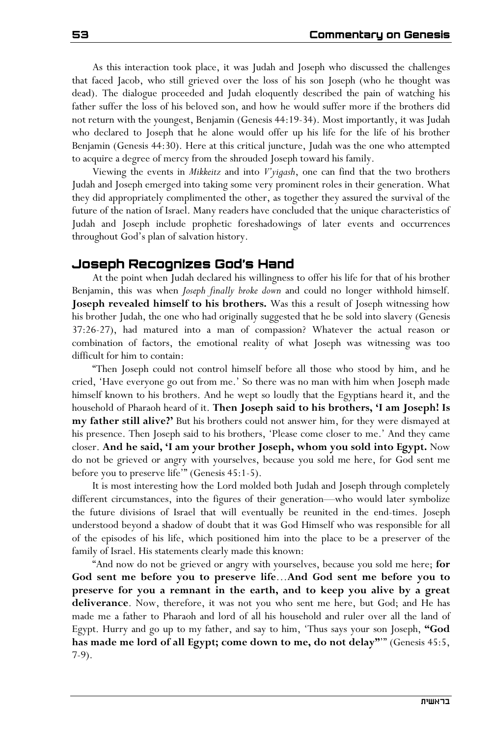As this interaction took place, it was Judah and Joseph who discussed the challenges that faced Jacob, who still grieved over the loss of his son Joseph (who he thought was dead). The dialogue proceeded and Judah eloquently described the pain of watching his father suffer the loss of his beloved son, and how he would suffer more if the brothers did not return with the youngest, Benjamin (Genesis 44:19-34). Most importantly, it was Judah who declared to Joseph that he alone would offer up his life for the life of his brother Benjamin (Genesis 44:30). Here at this critical juncture, Judah was the one who attempted to acquire a degree of mercy from the shrouded Joseph toward his family.

Viewing the events in *Mikkeitz* and into *V'yigash*, one can find that the two brothers Judah and Joseph emerged into taking some very prominent roles in their generation. What they did appropriately complimented the other, as together they assured the survival of the future of the nation of Israel. Many readers have concluded that the unique characteristics of Judah and Joseph include prophetic foreshadowings of later events and occurrences throughout God's plan of salvation history.

## **Joseph Recognizes God's Hand**

At the point when Judah declared his willingness to offer his life for that of his brother Benjamin, this was when *Joseph finally broke down* and could no longer withhold himself. **Joseph revealed himself to his brothers.** Was this a result of Joseph witnessing how his brother Judah, the one who had originally suggested that he be sold into slavery (Genesis 37:26-27), had matured into a man of compassion? Whatever the actual reason or combination of factors, the emotional reality of what Joseph was witnessing was too difficult for him to contain:

"Then Joseph could not control himself before all those who stood by him, and he cried, 'Have everyone go out from me.' So there was no man with him when Joseph made himself known to his brothers. And he wept so loudly that the Egyptians heard it, and the household of Pharaoh heard of it. **Then Joseph said to his brothers, 'I am Joseph! Is my father still alive?'** But his brothers could not answer him, for they were dismayed at his presence. Then Joseph said to his brothers, 'Please come closer to me.' And they came closer. **And he said, 'I am your brother Joseph, whom you sold into Egypt.** Now do not be grieved or angry with yourselves, because you sold me here, for God sent me before you to preserve life'" (Genesis 45:1-5).

It is most interesting how the Lord molded both Judah and Joseph through completely different circumstances, into the figures of their generation—who would later symbolize the future divisions of Israel that will eventually be reunited in the end-times. Joseph understood beyond a shadow of doubt that it was God Himself who was responsible for all of the episodes of his life, which positioned him into the place to be a preserver of the family of Israel. His statements clearly made this known:

"And now do not be grieved or angry with yourselves, because you sold me here; **for God sent me before you to preserve life**…**And God sent me before you to preserve for you a remnant in the earth, and to keep you alive by a great deliverance**. Now, therefore, it was not you who sent me here, but God; and He has made me a father to Pharaoh and lord of all his household and ruler over all the land of Egypt. Hurry and go up to my father, and say to him, 'Thus says your son Joseph, **"God has made me lord of all Egypt; come down to me, do not delay"**'" (Genesis 45:5, 7-9).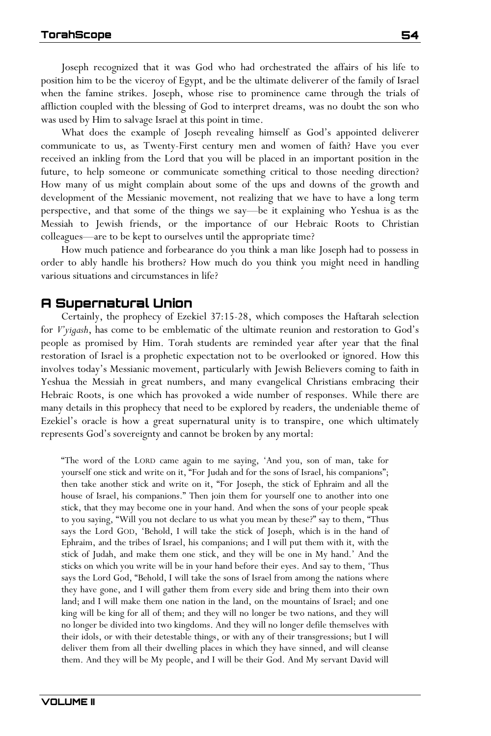Joseph recognized that it was God who had orchestrated the affairs of his life to position him to be the viceroy of Egypt, and be the ultimate deliverer of the family of Israel when the famine strikes. Joseph, whose rise to prominence came through the trials of affliction coupled with the blessing of God to interpret dreams, was no doubt the son who was used by Him to salvage Israel at this point in time.

What does the example of Joseph revealing himself as God's appointed deliverer communicate to us, as Twenty-First century men and women of faith? Have you ever received an inkling from the Lord that you will be placed in an important position in the future, to help someone or communicate something critical to those needing direction? How many of us might complain about some of the ups and downs of the growth and development of the Messianic movement, not realizing that we have to have a long term perspective, and that some of the things we say—be it explaining who Yeshua is as the Messiah to Jewish friends, or the importance of our Hebraic Roots to Christian colleagues—are to be kept to ourselves until the appropriate time?

How much patience and forbearance do you think a man like Joseph had to possess in order to ably handle his brothers? How much do you think you might need in handling various situations and circumstances in life?

## **A Supernatural Union**

Certainly, the prophecy of Ezekiel 37:15-28, which composes the Haftarah selection for *V'yigash*, has come to be emblematic of the ultimate reunion and restoration to God's people as promised by Him. Torah students are reminded year after year that the final restoration of Israel is a prophetic expectation not to be overlooked or ignored. How this involves today's Messianic movement, particularly with Jewish Believers coming to faith in Yeshua the Messiah in great numbers, and many evangelical Christians embracing their Hebraic Roots, is one which has provoked a wide number of responses. While there are many details in this prophecy that need to be explored by readers, the undeniable theme of Ezekiel's oracle is how a great supernatural unity is to transpire, one which ultimately represents God's sovereignty and cannot be broken by any mortal:

"The word of the LORD came again to me saying, 'And you, son of man, take for yourself one stick and write on it, "For Judah and for the sons of Israel, his companions"; then take another stick and write on it, "For Joseph, the stick of Ephraim and all the house of Israel, his companions." Then join them for yourself one to another into one stick, that they may become one in your hand. And when the sons of your people speak to you saying, "Will you not declare to us what you mean by these?" say to them, "Thus says the Lord GOD, 'Behold, I will take the stick of Joseph, which is in the hand of Ephraim, and the tribes of Israel, his companions; and I will put them with it, with the stick of Judah, and make them one stick, and they will be one in My hand.' And the sticks on which you write will be in your hand before their eyes. And say to them, 'Thus says the Lord God, "Behold, I will take the sons of Israel from among the nations where they have gone, and I will gather them from every side and bring them into their own land; and I will make them one nation in the land, on the mountains of Israel; and one king will be king for all of them; and they will no longer be two nations, and they will no longer be divided into two kingdoms. And they will no longer defile themselves with their idols, or with their detestable things, or with any of their transgressions; but I will deliver them from all their dwelling places in which they have sinned, and will cleanse them. And they will be My people, and I will be their God. And My servant David will